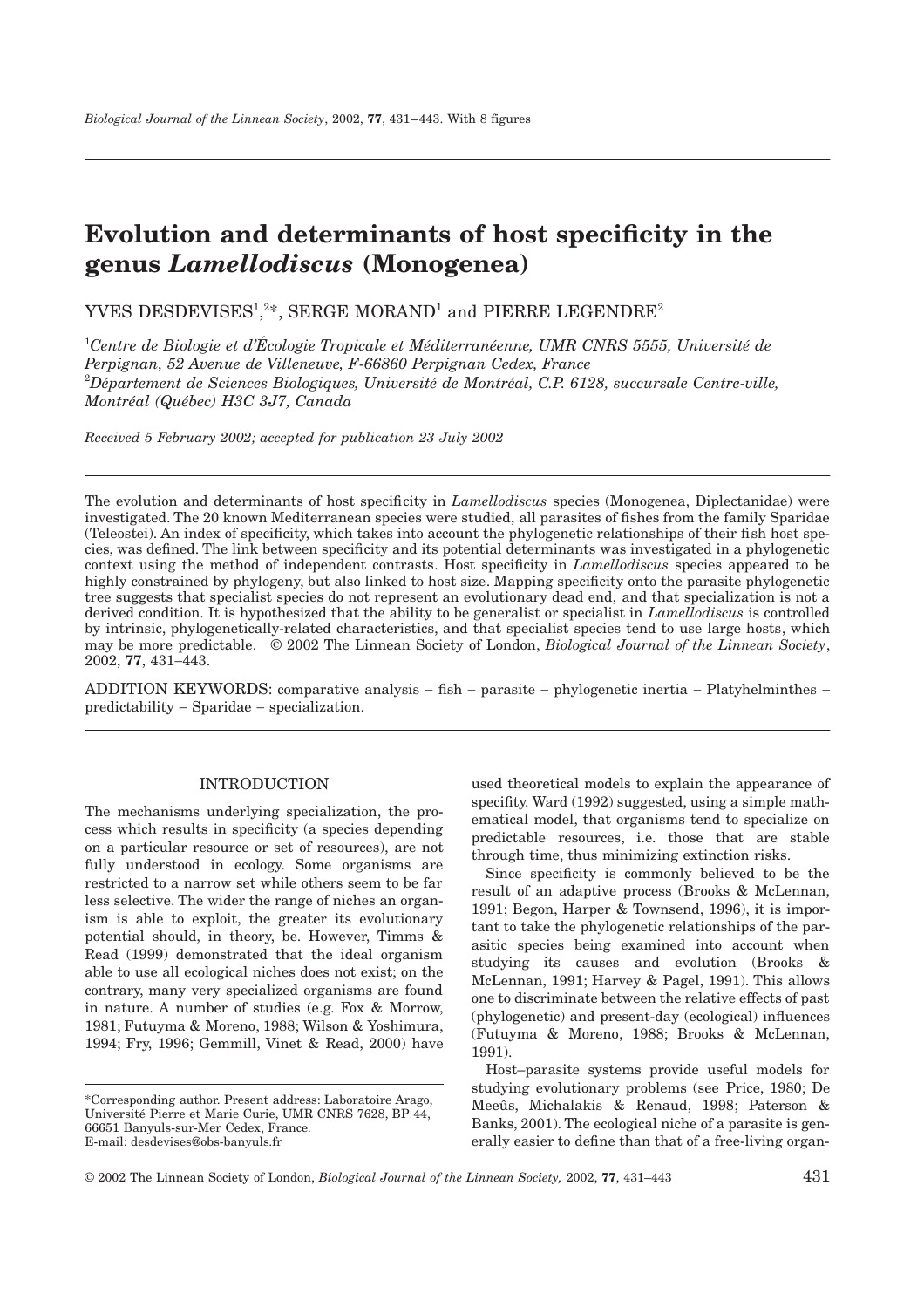# **Evolution and determinants of host specificity in the genus** *Lamellodiscus* **(Monogenea)**

YVES DESDEVISES<sup>1</sup>,<sup>2\*</sup>, SERGE MORAND<sup>1</sup> and PIERRE LEGENDRE<sup>2</sup>

<sup>1</sup>Centre de Biologie et d'Écologie Tropicale et Méditerranéenne, UMR CNRS 5555, Université de *Perpignan, 52 Avenue de Villeneuve, F-66860 Perpignan Cedex, France* 2 *Département de Sciences Biologiques, Université de Montréal, C.P. 6128, succursale Centre-ville, Montréal (Québec) H3C 3J7, Canada*

*Received 5 February 2002; accepted for publication 23 July 2002*

The evolution and determinants of host specificity in *Lamellodiscus* species (Monogenea, Diplectanidae) were investigated. The 20 known Mediterranean species were studied, all parasites of fishes from the family Sparidae (Teleostei). An index of specificity, which takes into account the phylogenetic relationships of their fish host species, was defined. The link between specificity and its potential determinants was investigated in a phylogenetic context using the method of independent contrasts. Host specificity in *Lamellodiscus* species appeared to be highly constrained by phylogeny, but also linked to host size. Mapping specificity onto the parasite phylogenetic tree suggests that specialist species do not represent an evolutionary dead end, and that specialization is not a derived condition. It is hypothesized that the ability to be generalist or specialist in *Lamellodiscus* is controlled by intrinsic, phylogenetically-related characteristics, and that specialist species tend to use large hosts, which may be more predictable. © 2002 The Linnean Society of London, *Biological Journal of the Linnean Society*, 2002, **77**, 431-443.

ADDITION KEYWORDS: comparative analysis - fish - parasite - phylogenetic inertia - Platyhelminthes predictability - Sparidae - specialization.

## INTRODUCTION

The mechanisms underlying specialization, the process which results in specificity (a species depending on a particular resource or set of resources), are not fully understood in ecology. Some organisms are restricted to a narrow set while others seem to be far less selective. The wider the range of niches an organism is able to exploit, the greater its evolutionary potential should, in theory, be. However, Timms & Read (1999) demonstrated that the ideal organism able to use all ecological niches does not exist; on the contrary, many very specialized organisms are found in nature. A number of studies (e.g. Fox & Morrow, 1981; Futuyma & Moreno, 1988; Wilson & Yoshimura, 1994; Fry, 1996; Gemmill, Vinet & Read, 2000) have used theoretical models to explain the appearance of specifity. Ward (1992) suggested, using a simple mathematical model, that organisms tend to specialize on predictable resources, i.e. those that are stable through time, thus minimizing extinction risks.

Since specificity is commonly believed to be the result of an adaptive process (Brooks & McLennan, 1991; Begon, Harper & Townsend, 1996), it is important to take the phylogenetic relationships of the parasitic species being examined into account when studying its causes and evolution (Brooks & McLennan, 1991; Harvey & Pagel, 1991). This allows one to discriminate between the relative effects of past (phylogenetic) and present-day (ecological) influences (Futuyma & Moreno, 1988; Brooks & McLennan, 1991).

Host–parasite systems provide useful models for studying evolutionary problems (see Price, 1980; De Meeûs, Michalakis & Renaud, 1998; Paterson & Banks, 2001). The ecological niche of a parasite is generally easier to define than that of a free-living organ-

<sup>\*</sup>Corresponding author. Present address: Laboratoire Arago, Université Pierre et Marie Curie, UMR CNRS 7628, BP 44, 66651 Banyuls-sur-Mer Cedex, France. E-mail: desdevises@obs-banyuls.fr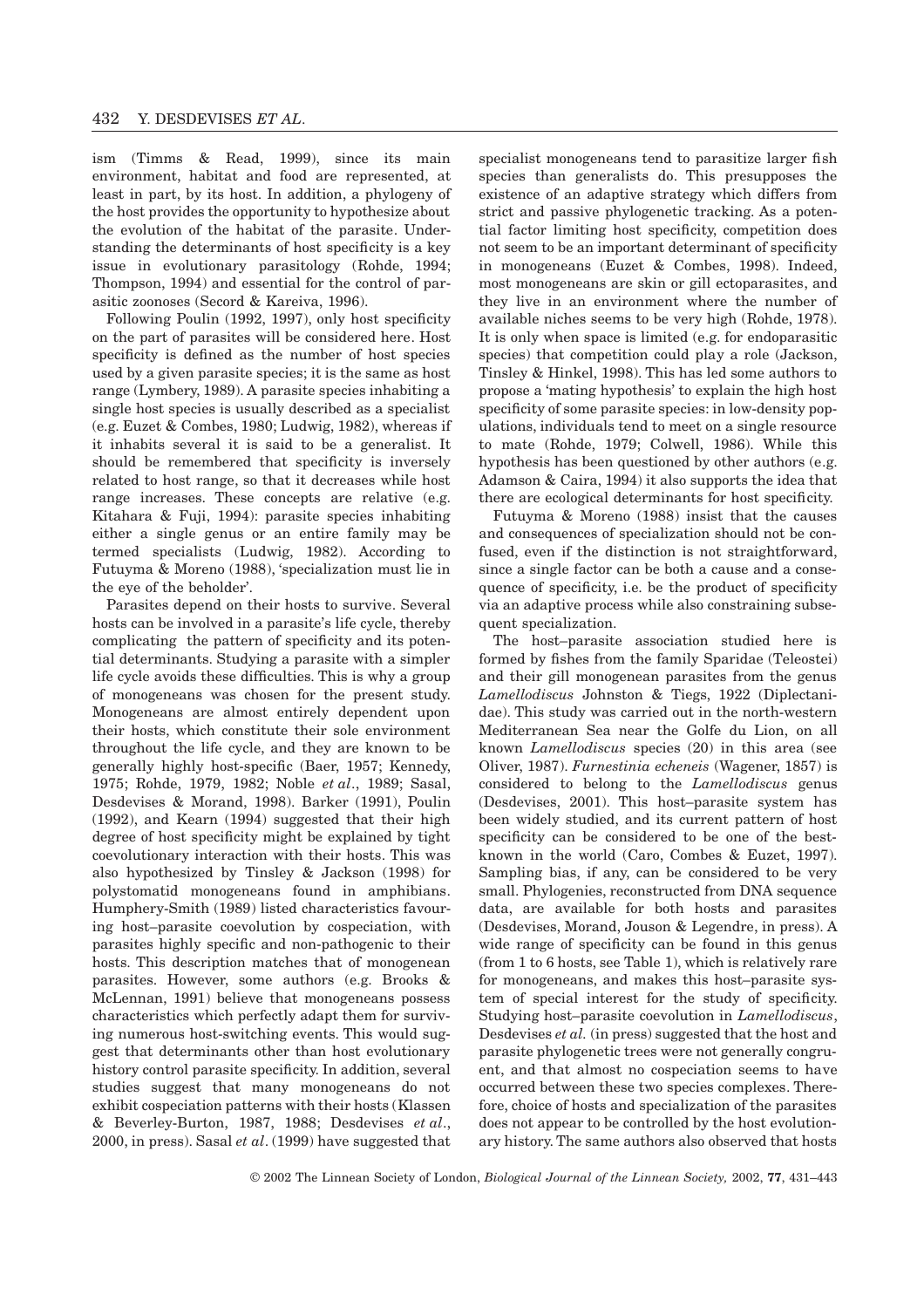ism (Timms & Read, 1999), since its main environment, habitat and food are represented, at least in part, by its host. In addition, a phylogeny of the host provides the opportunity to hypothesize about the evolution of the habitat of the parasite. Understanding the determinants of host specificity is a key issue in evolutionary parasitology (Rohde, 1994; Thompson, 1994) and essential for the control of parasitic zoonoses (Secord & Kareiva, 1996).

Following Poulin (1992, 1997), only host specificity on the part of parasites will be considered here. Host specificity is defined as the number of host species used by a given parasite species; it is the same as host range (Lymbery, 1989). A parasite species inhabiting a single host species is usually described as a specialist (e.g. Euzet & Combes, 1980; Ludwig, 1982), whereas if it inhabits several it is said to be a generalist. It should be remembered that specificity is inversely related to host range, so that it decreases while host range increases. These concepts are relative (e.g. Kitahara & Fuji, 1994): parasite species inhabiting either a single genus or an entire family may be termed specialists (Ludwig, 1982). According to Futuyma & Moreno (1988), 'specialization must lie in the eye of the beholder'.

Parasites depend on their hosts to survive. Several hosts can be involved in a parasite's life cycle, thereby complicating the pattern of specificity and its potential determinants. Studying a parasite with a simpler life cycle avoids these difficulties. This is why a group of monogeneans was chosen for the present study. Monogeneans are almost entirely dependent upon their hosts, which constitute their sole environment throughout the life cycle, and they are known to be generally highly host-specific (Baer, 1957; Kennedy, 1975; Rohde, 1979, 1982; Noble *et al*., 1989; Sasal, Desdevises & Morand, 1998). Barker (1991), Poulin (1992), and Kearn (1994) suggested that their high degree of host specificity might be explained by tight coevolutionary interaction with their hosts. This was also hypothesized by Tinsley & Jackson (1998) for polystomatid monogeneans found in amphibians. Humphery-Smith (1989) listed characteristics favouring host–parasite coevolution by cospeciation, with parasites highly specific and non-pathogenic to their hosts. This description matches that of monogenean parasites. However, some authors (e.g. Brooks & McLennan, 1991) believe that monogeneans possess characteristics which perfectly adapt them for surviving numerous host-switching events. This would suggest that determinants other than host evolutionary history control parasite specificity. In addition, several studies suggest that many monogeneans do not exhibit cospeciation patterns with their hosts (Klassen & Beverley-Burton, 1987, 1988; Desdevises *et al*., 2000, in press). Sasal *et al*. (1999) have suggested that

specialist monogeneans tend to parasitize larger fish species than generalists do. This presupposes the existence of an adaptive strategy which differs from strict and passive phylogenetic tracking. As a potential factor limiting host specificity, competition does not seem to be an important determinant of specificity in monogeneans (Euzet & Combes, 1998). Indeed, most monogeneans are skin or gill ectoparasites, and they live in an environment where the number of available niches seems to be very high (Rohde, 1978). It is only when space is limited (e.g. for endoparasitic species) that competition could play a role (Jackson, Tinsley & Hinkel, 1998). This has led some authors to propose a 'mating hypothesis' to explain the high host specificity of some parasite species: in low-density populations, individuals tend to meet on a single resource to mate (Rohde, 1979; Colwell, 1986). While this hypothesis has been questioned by other authors (e.g. Adamson & Caira, 1994) it also supports the idea that there are ecological determinants for host specificity.

Futuyma & Moreno (1988) insist that the causes and consequences of specialization should not be confused, even if the distinction is not straightforward, since a single factor can be both a cause and a consequence of specificity, i.e. be the product of specificity via an adaptive process while also constraining subsequent specialization.

The host–parasite association studied here is formed by fishes from the family Sparidae (Teleostei) and their gill monogenean parasites from the genus *Lamellodiscus* Johnston & Tiegs, 1922 (Diplectanidae). This study was carried out in the north-western Mediterranean Sea near the Golfe du Lion, on all known *Lamellodiscus* species (20) in this area (see Oliver, 1987). *Furnestinia echeneis* (Wagener, 1857) is considered to belong to the *Lamellodiscus* genus (Desdevises, 2001). This host–parasite system has been widely studied, and its current pattern of host specificity can be considered to be one of the bestknown in the world (Caro, Combes & Euzet, 1997). Sampling bias, if any, can be considered to be very small. Phylogenies, reconstructed from DNA sequence data, are available for both hosts and parasites (Desdevises, Morand, Jouson & Legendre, in press). A wide range of specificity can be found in this genus (from 1 to 6 hosts, see Table 1), which is relatively rare for monogeneans, and makes this host–parasite system of special interest for the study of specificity. Studying host–parasite coevolution in *Lamellodiscus*, Desdevises *et al.* (in press) suggested that the host and parasite phylogenetic trees were not generally congruent, and that almost no cospeciation seems to have occurred between these two species complexes. Therefore, choice of hosts and specialization of the parasites does not appear to be controlled by the host evolutionary history. The same authors also observed that hosts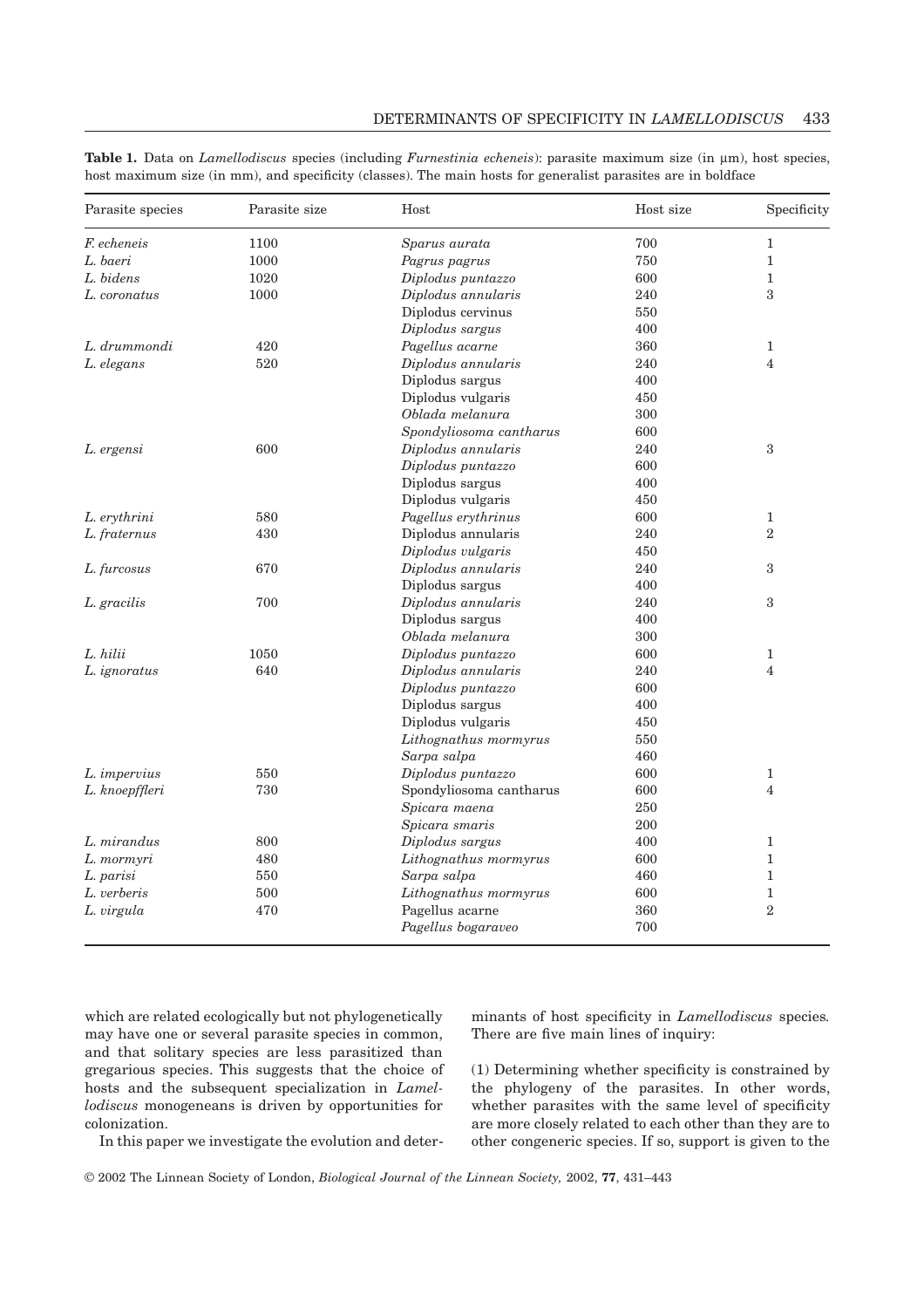| Parasite species   | Parasite size | Host                    | Host size | Specificity    |
|--------------------|---------------|-------------------------|-----------|----------------|
| <i>F.</i> echeneis | 1100          | Sparus aurata           | 700       | 1              |
| L. baeri           | 1000          | Pagrus pagrus           | 750       | $\mathbf{1}$   |
| L. bidens          | 1020          | Diplodus puntazzo       | 600       | $\mathbf{1}$   |
| L. coronatus       | 1000          | Diplodus annularis      | 240       | 3              |
|                    |               | Diplodus cervinus       | 550       |                |
|                    |               | Diplodus sargus         | 400       |                |
| L. drummondi       | 420           | Pagellus acarne         | 360       | 1              |
| L. elegans         | 520           | Diplodus annularis      | 240       | $\overline{4}$ |
|                    |               | Diplodus sargus         | 400       |                |
|                    |               | Diplodus vulgaris       | 450       |                |
|                    |               | Oblada melanura         | 300       |                |
|                    |               | Spondyliosoma cantharus | 600       |                |
| L. ergensi         | 600           | Diplodus annularis      | 240       | 3              |
|                    |               | Diplodus puntazzo       | 600       |                |
|                    |               | Diplodus sargus         | 400       |                |
|                    |               | Diplodus vulgaris       | 450       |                |
| L. erythrini       | 580           | Pagellus erythrinus     | 600       | 1              |
| L. fraternus       | 430           | Diplodus annularis      | 240       | $\mathbf{2}$   |
|                    |               | Diplodus vulgaris       | 450       |                |
| L. furcosus        | 670           | Diplodus annularis      | 240       | 3              |
|                    |               | Diplodus sargus         | 400       |                |
| L. gracilis        | 700           | Diplodus annularis      | 240       | 3              |
|                    |               | Diplodus sargus         | 400       |                |
|                    |               | Oblada melanura         | 300       |                |
| L. hilii           | 1050          | Diplodus puntazzo       | 600       | 1              |
| L. ignoratus       | 640           | Diplodus annularis      | 240       | $\overline{4}$ |
|                    |               | Diplodus puntazzo       | 600       |                |
|                    |               | Diplodus sargus         | 400       |                |
|                    |               | Diplodus vulgaris       | 450       |                |
|                    |               | Lithognathus mormyrus   | 550       |                |
|                    |               | Sarpa salpa             | 460       |                |
| L. impervius       | 550           | Diplodus puntazzo       | 600       | 1              |
| L. knoepffleri     | 730           | Spondyliosoma cantharus | 600       | $\overline{4}$ |
|                    |               | Spicara maena           | 250       |                |
|                    |               | Spicara smaris          | 200       |                |
| L. mirandus        | 800           | Diplodus sargus         | 400       | 1              |
| L. mormyri         | 480           | Lithognathus mormyrus   | 600       | 1              |
| L. parisi          | 550           | Sarpa salpa             | 460       | 1              |
| L. verberis        | 500           | Lithognathus mormyrus   | 600       | $\mathbf{1}$   |
| L. virgula         | 470           | Pagellus acarne         | 360       | $\,2$          |
|                    |               | Pagellus bogaraveo      | 700       |                |

Table 1. Data on *Lamellodiscus* species (including *Furnestinia echeneis*): parasite maximum size (in µm), host species, host maximum size (in mm), and specificity (classes). The main hosts for generalist parasites are in boldface

which are related ecologically but not phylogenetically may have one or several parasite species in common, and that solitary species are less parasitized than gregarious species. This suggests that the choice of hosts and the subsequent specialization in *Lamellodiscus* monogeneans is driven by opportunities for colonization.

minants of host specificity in *Lamellodiscus* species*.* There are five main lines of inquiry:

(1) Determining whether specificity is constrained by the phylogeny of the parasites. In other words, whether parasites with the same level of specificity are more closely related to each other than they are to other congeneric species. If so, support is given to the

In this paper we investigate the evolution and deter-

© 2002 The Linnean Society of London, *Biological Journal of the Linnean Society,* 2002, **77**, 431–443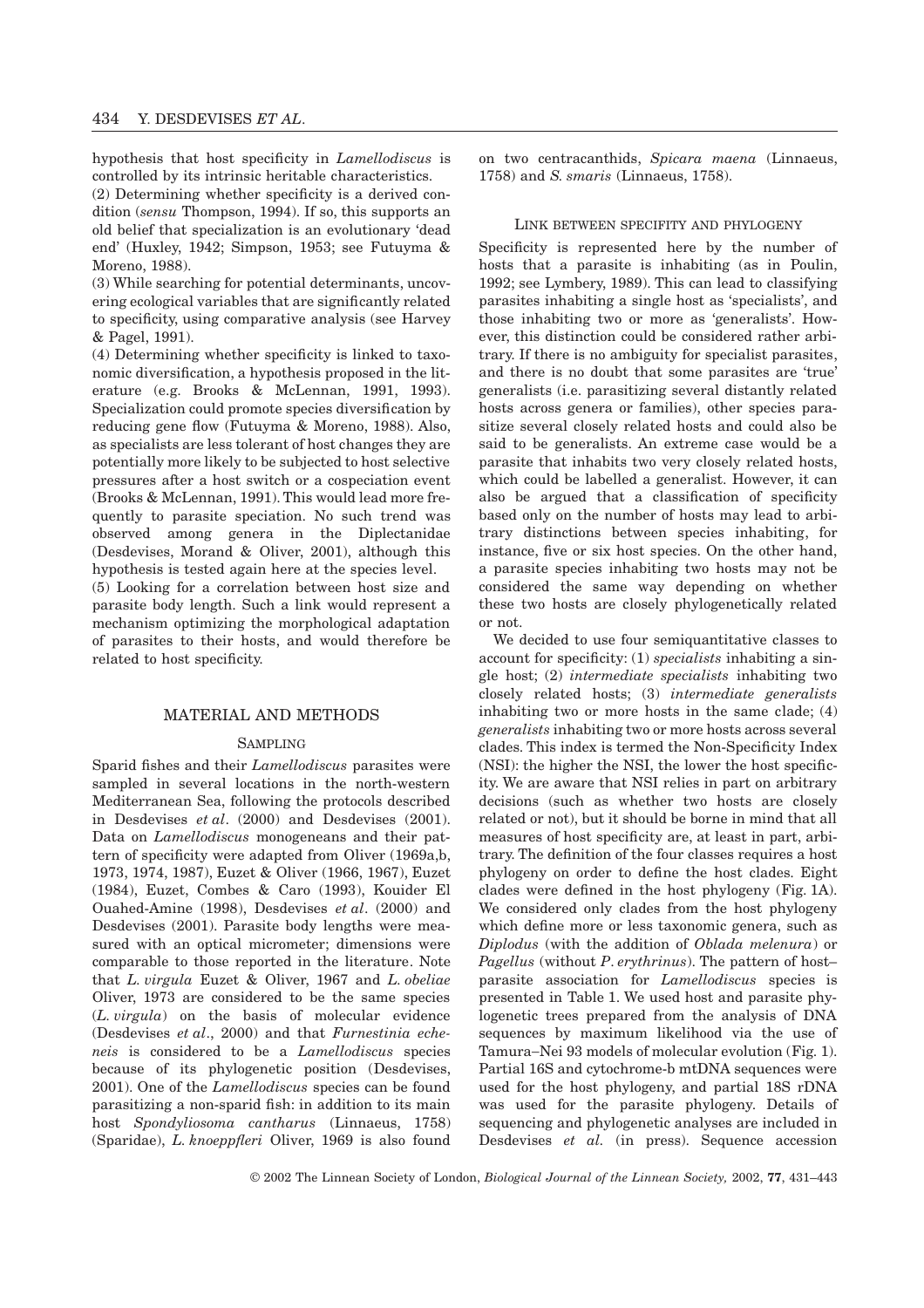hypothesis that host specificity in *Lamellodiscus* is controlled by its intrinsic heritable characteristics.

(2) Determining whether specificity is a derived condition (*sensu* Thompson, 1994). If so, this supports an old belief that specialization is an evolutionary 'dead end' (Huxley, 1942; Simpson, 1953; see Futuyma & Moreno, 1988).

(3) While searching for potential determinants, uncovering ecological variables that are significantly related to specificity, using comparative analysis (see Harvey & Pagel, 1991).

(4) Determining whether specificity is linked to taxonomic diversification, a hypothesis proposed in the literature (e.g. Brooks & McLennan, 1991, 1993). Specialization could promote species diversification by reducing gene flow (Futuyma & Moreno, 1988). Also, as specialists are less tolerant of host changes they are potentially more likely to be subjected to host selective pressures after a host switch or a cospeciation event (Brooks & McLennan, 1991). This would lead more frequently to parasite speciation. No such trend was observed among genera in the Diplectanidae (Desdevises, Morand & Oliver, 2001), although this hypothesis is tested again here at the species level.

(5) Looking for a correlation between host size and parasite body length. Such a link would represent a mechanism optimizing the morphological adaptation of parasites to their hosts, and would therefore be related to host specificity.

#### MATERIAL AND METHODS

#### SAMPLING

Sparid fishes and their *Lamellodiscus* parasites were sampled in several locations in the north-western Mediterranean Sea, following the protocols described in Desdevises *et al*. (2000) and Desdevises (2001). Data on *Lamellodiscus* monogeneans and their pattern of specificity were adapted from Oliver (1969a,b, 1973, 1974, 1987), Euzet & Oliver (1966, 1967), Euzet (1984), Euzet, Combes & Caro (1993), Kouider El Ouahed-Amine (1998), Desdevises *et al*. (2000) and Desdevises (2001). Parasite body lengths were measured with an optical micrometer; dimensions were comparable to those reported in the literature. Note that *L. virgula* Euzet & Oliver, 1967 and *L. obeliae* Oliver, 1973 are considered to be the same species (*L. virgula*) on the basis of molecular evidence (Desdevises *et al*., 2000) and that *Furnestinia echeneis* is considered to be a *Lamellodiscus* species because of its phylogenetic position (Desdevises, 2001). One of the *Lamellodiscus* species can be found parasitizing a non-sparid fish: in addition to its main host *Spondyliosoma cantharus* (Linnaeus, 1758) (Sparidae), *L. knoeppfleri* Oliver, 1969 is also found on two centracanthids, *Spicara maena* (Linnaeus, 1758) and *S. smaris* (Linnaeus, 1758).

#### LINK BETWEEN SPECIFITY AND PHYLOGENY

Specificity is represented here by the number of hosts that a parasite is inhabiting (as in Poulin, 1992; see Lymbery, 1989). This can lead to classifying parasites inhabiting a single host as 'specialists', and those inhabiting two or more as 'generalists'. However, this distinction could be considered rather arbitrary. If there is no ambiguity for specialist parasites, and there is no doubt that some parasites are 'true' generalists (i.e. parasitizing several distantly related hosts across genera or families), other species parasitize several closely related hosts and could also be said to be generalists. An extreme case would be a parasite that inhabits two very closely related hosts, which could be labelled a generalist. However, it can also be argued that a classification of specificity based only on the number of hosts may lead to arbitrary distinctions between species inhabiting, for instance, five or six host species. On the other hand, a parasite species inhabiting two hosts may not be considered the same way depending on whether these two hosts are closely phylogenetically related or not.

We decided to use four semiquantitative classes to account for specificity: (1) *specialists* inhabiting a single host; (2) *intermediate specialists* inhabiting two closely related hosts; (3) *intermediate generalists* inhabiting two or more hosts in the same clade; (4) *generalists* inhabiting two or more hosts across several clades. This index is termed the Non-Specificity Index (NSI): the higher the NSI, the lower the host specificity. We are aware that NSI relies in part on arbitrary decisions (such as whether two hosts are closely related or not), but it should be borne in mind that all measures of host specificity are, at least in part, arbitrary. The definition of the four classes requires a host phylogeny on order to define the host clades. Eight clades were defined in the host phylogeny (Fig. 1A). We considered only clades from the host phylogeny which define more or less taxonomic genera, such as *Diplodus* (with the addition of *Oblada melenura*) or *Pagellus* (without *P*. *erythrinus*). The pattern of host– parasite association for *Lamellodiscus* species is presented in Table 1. We used host and parasite phylogenetic trees prepared from the analysis of DNA sequences by maximum likelihood via the use of Tamura-Nei 93 models of molecular evolution (Fig. 1). Partial 16S and cytochrome-b mtDNA sequences were used for the host phylogeny, and partial 18S rDNA was used for the parasite phylogeny. Details of sequencing and phylogenetic analyses are included in Desdevises *et al.* (in press). Sequence accession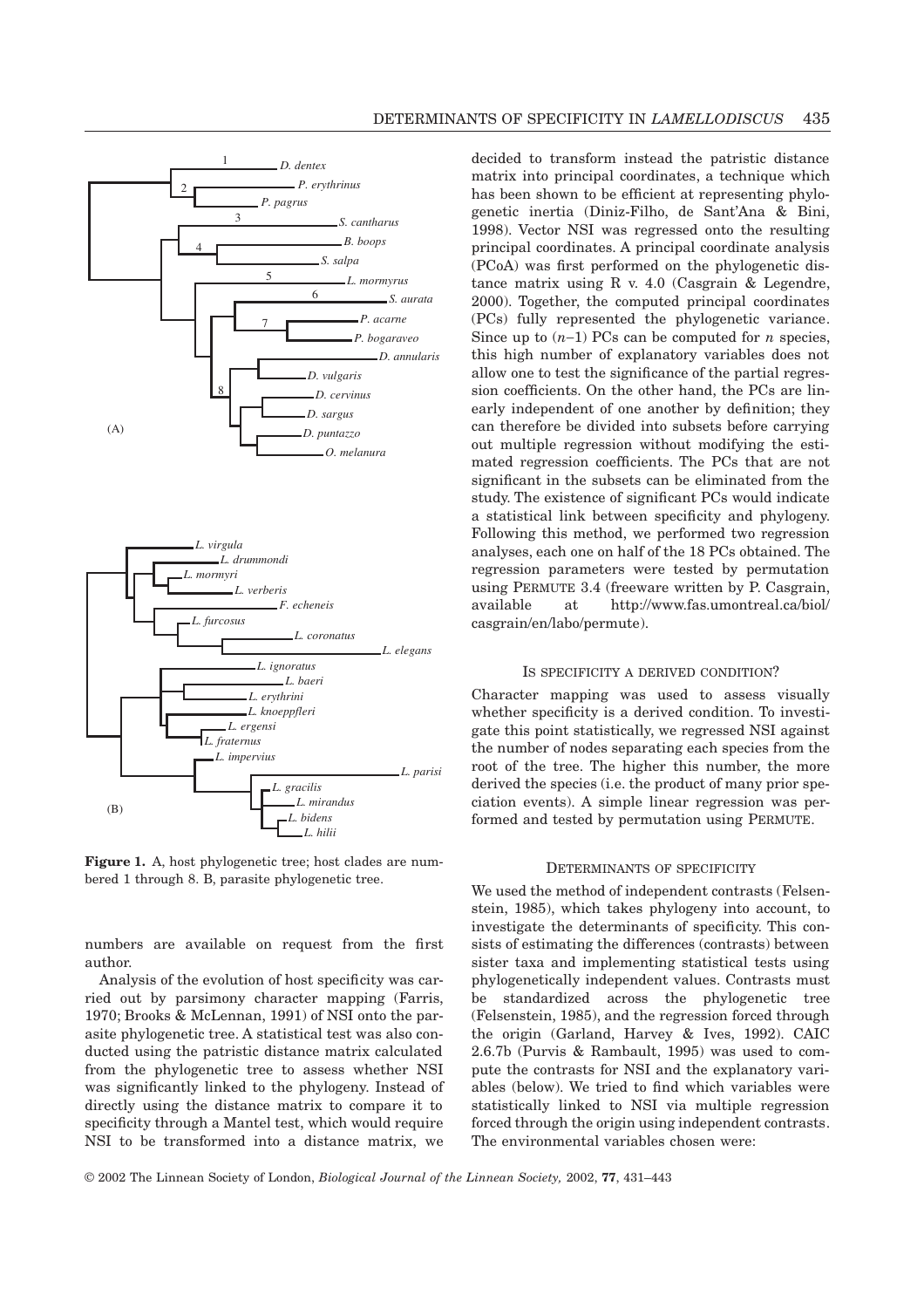



**Figure 1.** A, host phylogenetic tree; host clades are numbered 1 through 8. B, parasite phylogenetic tree.

numbers are available on request from the first author.

Analysis of the evolution of host specificity was carried out by parsimony character mapping (Farris, 1970; Brooks & McLennan, 1991) of NSI onto the parasite phylogenetic tree. A statistical test was also conducted using the patristic distance matrix calculated from the phylogenetic tree to assess whether NSI was significantly linked to the phylogeny. Instead of directly using the distance matrix to compare it to specificity through a Mantel test, which would require NSI to be transformed into a distance matrix, we

decided to transform instead the patristic distance matrix into principal coordinates, a technique which has been shown to be efficient at representing phylogenetic inertia (Diniz-Filho, de Sant'Ana & Bini, 1998). Vector NSI was regressed onto the resulting principal coordinates. A principal coordinate analysis (PCoA) was first performed on the phylogenetic distance matrix using R v. 4.0 (Casgrain & Legendre, 2000). Together, the computed principal coordinates (PCs) fully represented the phylogenetic variance. Since up to  $(n-1)$  PCs can be computed for *n* species, this high number of explanatory variables does not allow one to test the significance of the partial regression coefficients. On the other hand, the PCs are linearly independent of one another by definition; they can therefore be divided into subsets before carrying out multiple regression without modifying the estimated regression coefficients. The PCs that are not significant in the subsets can be eliminated from the study. The existence of significant PCs would indicate a statistical link between specificity and phylogeny. Following this method, we performed two regression analyses, each one on half of the 18 PCs obtained. The regression parameters were tested by permutation using PERMUTE 3.4 (freeware written by P. Casgrain, available at http://www.fas.umontreal.ca/biol/ casgrain/en/labo/permute).

#### IS SPECIFICITY A DERIVED CONDITION?

Character mapping was used to assess visually whether specificity is a derived condition. To investigate this point statistically, we regressed NSI against the number of nodes separating each species from the root of the tree. The higher this number, the more derived the species (i.e. the product of many prior speciation events). A simple linear regression was performed and tested by permutation using PERMUTE.

#### DETERMINANTS OF SPECIFICITY

We used the method of independent contrasts (Felsenstein, 1985), which takes phylogeny into account, to investigate the determinants of specificity. This consists of estimating the differences (contrasts) between sister taxa and implementing statistical tests using phylogenetically independent values. Contrasts must be standardized across the phylogenetic tree (Felsenstein, 1985), and the regression forced through the origin (Garland, Harvey & Ives, 1992). CAIC 2.6.7b (Purvis & Rambault, 1995) was used to compute the contrasts for NSI and the explanatory variables (below). We tried to find which variables were statistically linked to NSI via multiple regression forced through the origin using independent contrasts. The environmental variables chosen were:

© 2002 The Linnean Society of London, *Biological Journal of the Linnean Society,* 2002, **77**, 431–443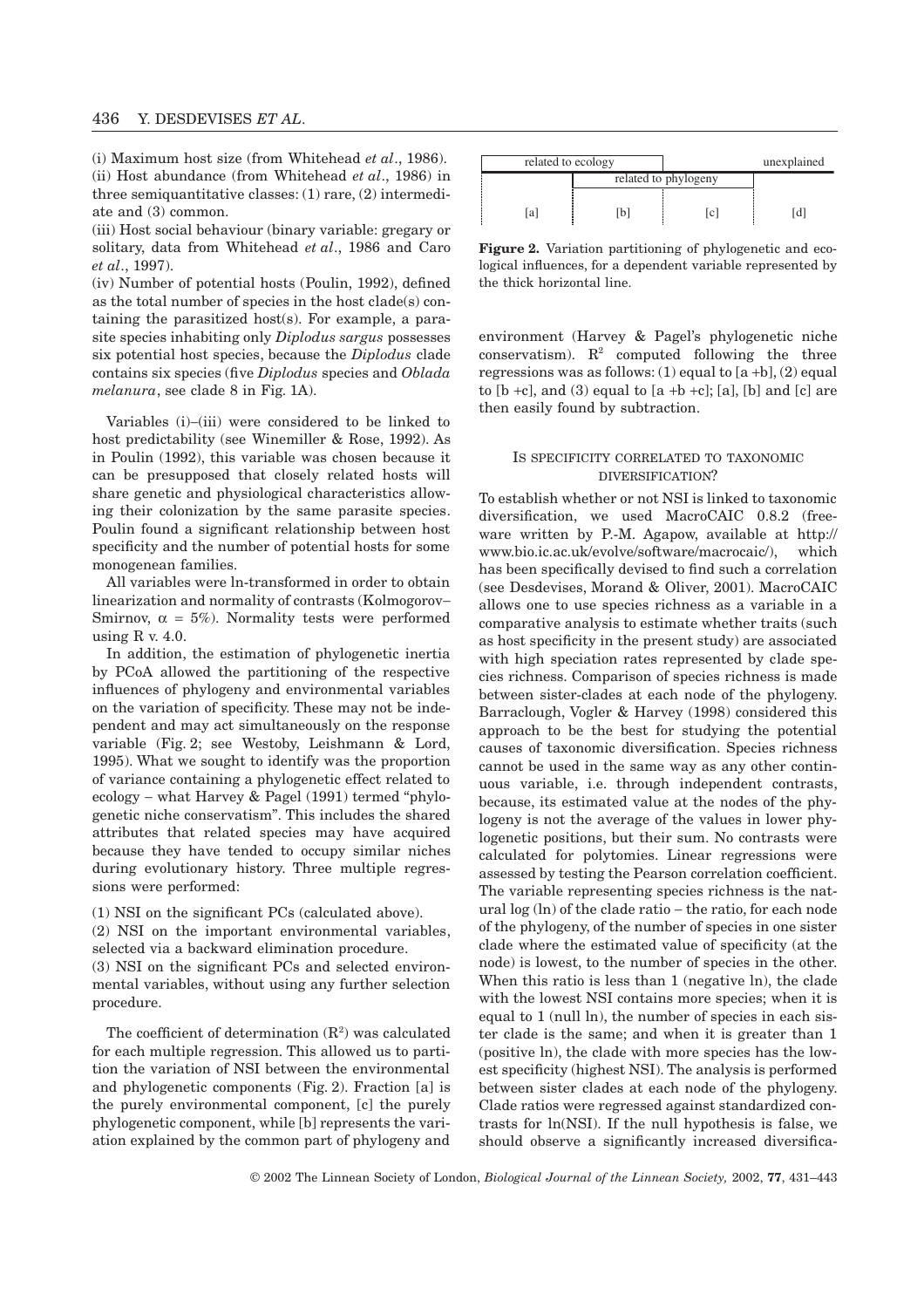(i) Maximum host size (from Whitehead *et al*., 1986). (ii) Host abundance (from Whitehead *et al*., 1986) in three semiquantitative classes: (1) rare, (2) intermediate and (3) common.

(iii) Host social behaviour (binary variable: gregary or solitary, data from Whitehead *et al*., 1986 and Caro *et al*., 1997).

(iv) Number of potential hosts (Poulin, 1992), defined as the total number of species in the host clade(s) containing the parasitized host(s). For example, a parasite species inhabiting only *Diplodus sargus* possesses six potential host species, because the *Diplodus* clade contains six species (five *Diplodus* species and *Oblada melanura*, see clade 8 in Fig. 1A).

Variables (i)-(iii) were considered to be linked to host predictability (see Winemiller & Rose, 1992). As in Poulin (1992), this variable was chosen because it can be presupposed that closely related hosts will share genetic and physiological characteristics allowing their colonization by the same parasite species. Poulin found a significant relationship between host specificity and the number of potential hosts for some monogenean families.

All variables were ln-transformed in order to obtain linearization and normality of contrasts (Kolmogorov-Smirnov,  $\alpha = 5\%$ ). Normality tests were performed using  $R v. 4.0$ .

In addition, the estimation of phylogenetic inertia by PCoA allowed the partitioning of the respective influences of phylogeny and environmental variables on the variation of specificity. These may not be independent and may act simultaneously on the response variable (Fig. 2; see Westoby, Leishmann & Lord, 1995). What we sought to identify was the proportion of variance containing a phylogenetic effect related to ecology - what Harvey & Pagel (1991) termed "phylogenetic niche conservatism". This includes the shared attributes that related species may have acquired because they have tended to occupy similar niches during evolutionary history. Three multiple regressions were performed:

(1) NSI on the significant PCs (calculated above).

(2) NSI on the important environmental variables, selected via a backward elimination procedure.

(3) NSI on the significant PCs and selected environmental variables, without using any further selection procedure.

The coefficient of determination  $(R^2)$  was calculated for each multiple regression. This allowed us to partition the variation of NSI between the environmental and phylogenetic components (Fig. 2). Fraction [a] is the purely environmental component, [c] the purely phylogenetic component, while [b] represents the variation explained by the common part of phylogeny and

| related to ecology |                      |   | unexplained |
|--------------------|----------------------|---|-------------|
|                    | related to phylogeny |   |             |
| [a]                | b                    | C |             |

**Figure 2.** Variation partitioning of phylogenetic and ecological influences, for a dependent variable represented by the thick horizontal line.

environment (Harvey & Pagel's phylogenetic niche conservatism).  $\mathbb{R}^2$  computed following the three regressions was as follows:  $(1)$  equal to  $[a + b]$ ,  $(2)$  equal to  $[b + c]$ , and  $(3)$  equal to  $[a + b + c]$ ;  $[a]$ ,  $[b]$  and  $[c]$  are then easily found by subtraction.

## IS SPECIFICITY CORRELATED TO TAXONOMIC DIVERSIFICATION?

To establish whether or not NSI is linked to taxonomic diversification, we used MacroCAIC 0.8.2 (freeware written by P.-M. Agapow, available at http:// www.bio.ic.ac.uk/evolve/software/macrocaic/), which has been specifically devised to find such a correlation (see Desdevises, Morand & Oliver, 2001). MacroCAIC allows one to use species richness as a variable in a comparative analysis to estimate whether traits (such as host specificity in the present study) are associated with high speciation rates represented by clade species richness. Comparison of species richness is made between sister-clades at each node of the phylogeny. Barraclough, Vogler & Harvey (1998) considered this approach to be the best for studying the potential causes of taxonomic diversification. Species richness cannot be used in the same way as any other continuous variable, i.e. through independent contrasts, because, its estimated value at the nodes of the phylogeny is not the average of the values in lower phylogenetic positions, but their sum. No contrasts were calculated for polytomies. Linear regressions were assessed by testing the Pearson correlation coefficient. The variable representing species richness is the natural log (ln) of the clade ratio - the ratio, for each node of the phylogeny, of the number of species in one sister clade where the estimated value of specificity (at the node) is lowest, to the number of species in the other. When this ratio is less than 1 (negative ln), the clade with the lowest NSI contains more species; when it is equal to 1 (null ln), the number of species in each sister clade is the same; and when it is greater than 1 (positive ln), the clade with more species has the lowest specificity (highest NSI). The analysis is performed between sister clades at each node of the phylogeny. Clade ratios were regressed against standardized contrasts for ln(NSI). If the null hypothesis is false, we should observe a significantly increased diversifica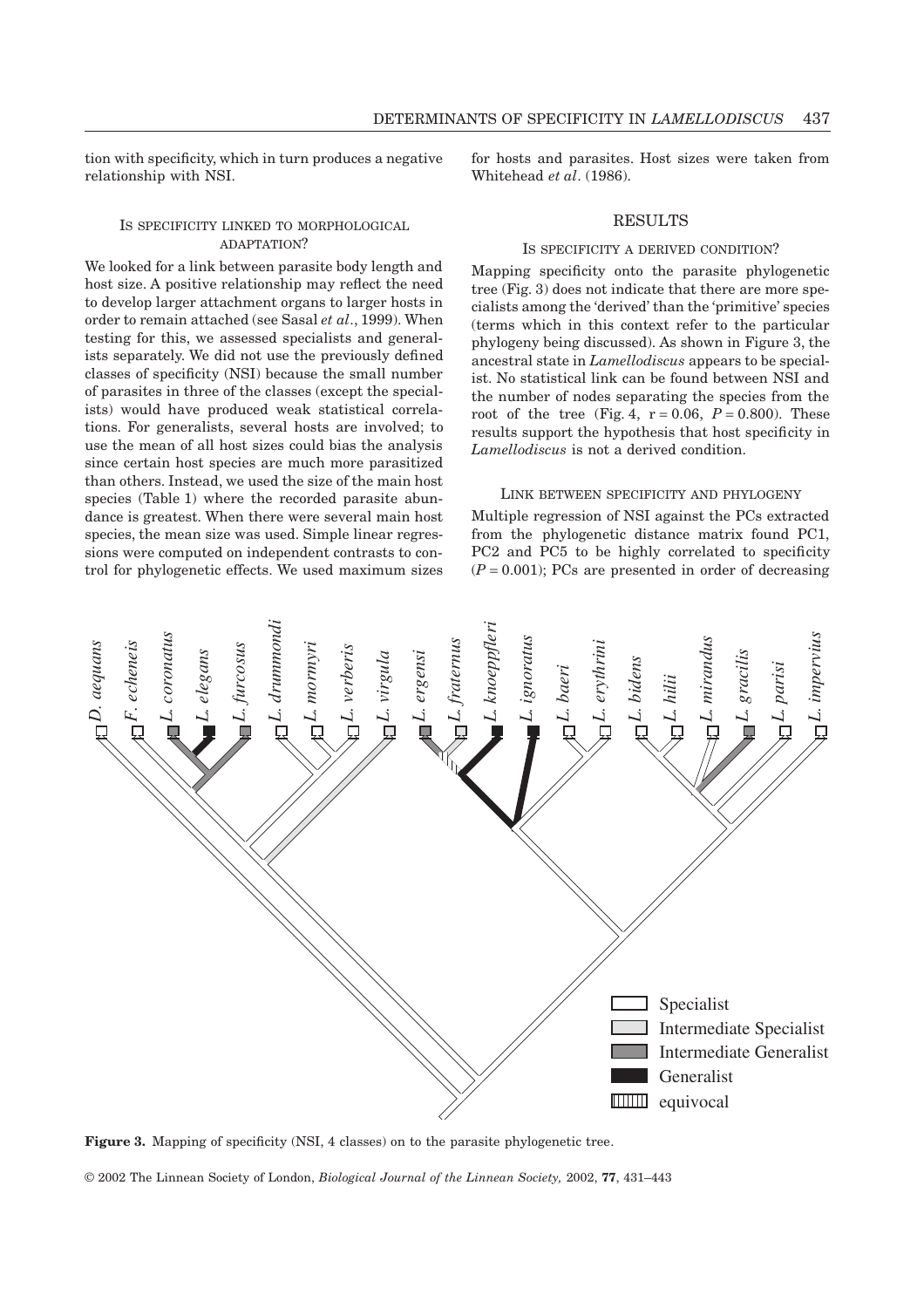tion with specificity, which in turn produces a negative relationship with NSI.

## IS SPECIFICITY LINKED TO MORPHOLOGICAL ADAPTATION?

We looked for a link between parasite body length and host size. A positive relationship may reflect the need to develop larger attachment organs to larger hosts in order to remain attached (see Sasal *et al*., 1999). When testing for this, we assessed specialists and generalists separately. We did not use the previously defined classes of specificity (NSI) because the small number of parasites in three of the classes (except the specialists) would have produced weak statistical correlations. For generalists, several hosts are involved; to use the mean of all host sizes could bias the analysis since certain host species are much more parasitized than others. Instead, we used the size of the main host species (Table 1) where the recorded parasite abundance is greatest. When there were several main host species, the mean size was used. Simple linear regressions were computed on independent contrasts to control for phylogenetic effects. We used maximum sizes for hosts and parasites. Host sizes were taken from Whitehead *et al*. (1986).

## RESULTS

#### IS SPECIFICITY A DERIVED CONDITION?

Mapping specificity onto the parasite phylogenetic tree (Fig. 3) does not indicate that there are more specialists among the 'derived' than the 'primitive' species (terms which in this context refer to the particular phylogeny being discussed). As shown in Figure 3, the ancestral state in *Lamellodiscus* appears to be specialist. No statistical link can be found between NSI and the number of nodes separating the species from the root of the tree (Fig. 4,  $r = 0.06$ ,  $P = 0.800$ ). These results support the hypothesis that host specificity in *Lamellodiscus* is not a derived condition.

#### LINK BETWEEN SPECIFICITY AND PHYLOGENY

Multiple regression of NSI against the PCs extracted from the phylogenetic distance matrix found PC1, PC2 and PC5 to be highly correlated to specificity  $(P = 0.001)$ ; PCs are presented in order of decreasing



© 2002 The Linnean Society of London, *Biological Journal of the Linnean Society,* 2002, **77**, 431–443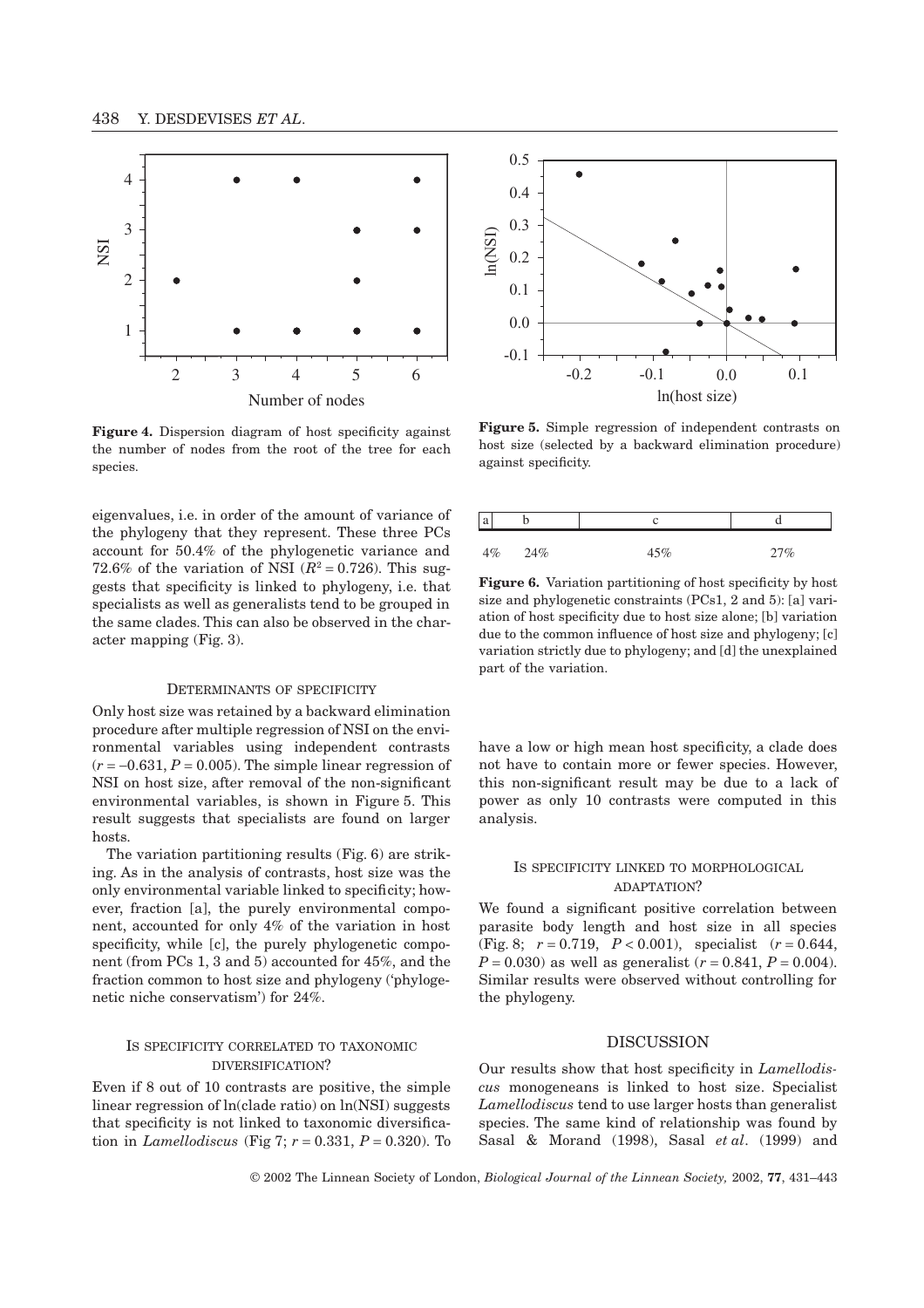

**Figure 4.** Dispersion diagram of host specificity against the number of nodes from the root of the tree for each species.

eigenvalues, i.e. in order of the amount of variance of the phylogeny that they represent. These three PCs account for 50.4% of the phylogenetic variance and 72.6% of the variation of NSI  $(R^2 = 0.726)$ . This suggests that specificity is linked to phylogeny, i.e. that specialists as well as generalists tend to be grouped in the same clades. This can also be observed in the character mapping (Fig. 3).

#### DETERMINANTS OF SPECIFICITY

Only host size was retained by a backward elimination procedure after multiple regression of NSI on the environmental variables using independent contrasts  $(r = -0.631, P = 0.005)$ . The simple linear regression of NSI on host size, after removal of the non-significant environmental variables, is shown in Figure 5. This result suggests that specialists are found on larger hosts.

The variation partitioning results (Fig. 6) are striking. As in the analysis of contrasts, host size was the only environmental variable linked to specificity; however, fraction [a], the purely environmental component, accounted for only 4% of the variation in host specificity, while [c], the purely phylogenetic component (from PCs 1, 3 and 5) accounted for 45%, and the fraction common to host size and phylogeny ('phylogenetic niche conservatism') for 24%.

## IS SPECIFICITY CORRELATED TO TAXONOMIC DIVERSIFICATION?

Even if 8 out of 10 contrasts are positive, the simple linear regression of ln(clade ratio) on ln(NSI) suggests that specificity is not linked to taxonomic diversification in *Lamellodiscus* (Fig 7; *r* = 0.331, *P* = 0.320). To



**Figure 5.** Simple regression of independent contrasts on host size (selected by a backward elimination procedure) against specificity.

| a |    |               |          |
|---|----|---------------|----------|
|   | 4% | $\epsilon$ of | $\sigma$ |

**Figure 6.** Variation partitioning of host specificity by host size and phylogenetic constraints (PCs1, 2 and 5): [a] variation of host specificity due to host size alone; [b] variation due to the common influence of host size and phylogeny; [c] variation strictly due to phylogeny; and [d] the unexplained part of the variation.

have a low or high mean host specificity, a clade does not have to contain more or fewer species. However, this non-significant result may be due to a lack of power as only 10 contrasts were computed in this analysis.

# IS SPECIFICITY LINKED TO MORPHOLOGICAL ADAPTATION?

We found a significant positive correlation between parasite body length and host size in all species (Fig. 8;  $r = 0.719$ ,  $P < 0.001$ ), specialist ( $r = 0.644$ ,  $P = 0.030$  as well as generalist ( $r = 0.841$ ,  $P = 0.004$ ). Similar results were observed without controlling for the phylogeny.

## **DISCUSSION**

Our results show that host specificity in *Lamellodiscus* monogeneans is linked to host size. Specialist *Lamellodiscus* tend to use larger hosts than generalist species. The same kind of relationship was found by Sasal & Morand (1998), Sasal *et al*. (1999) and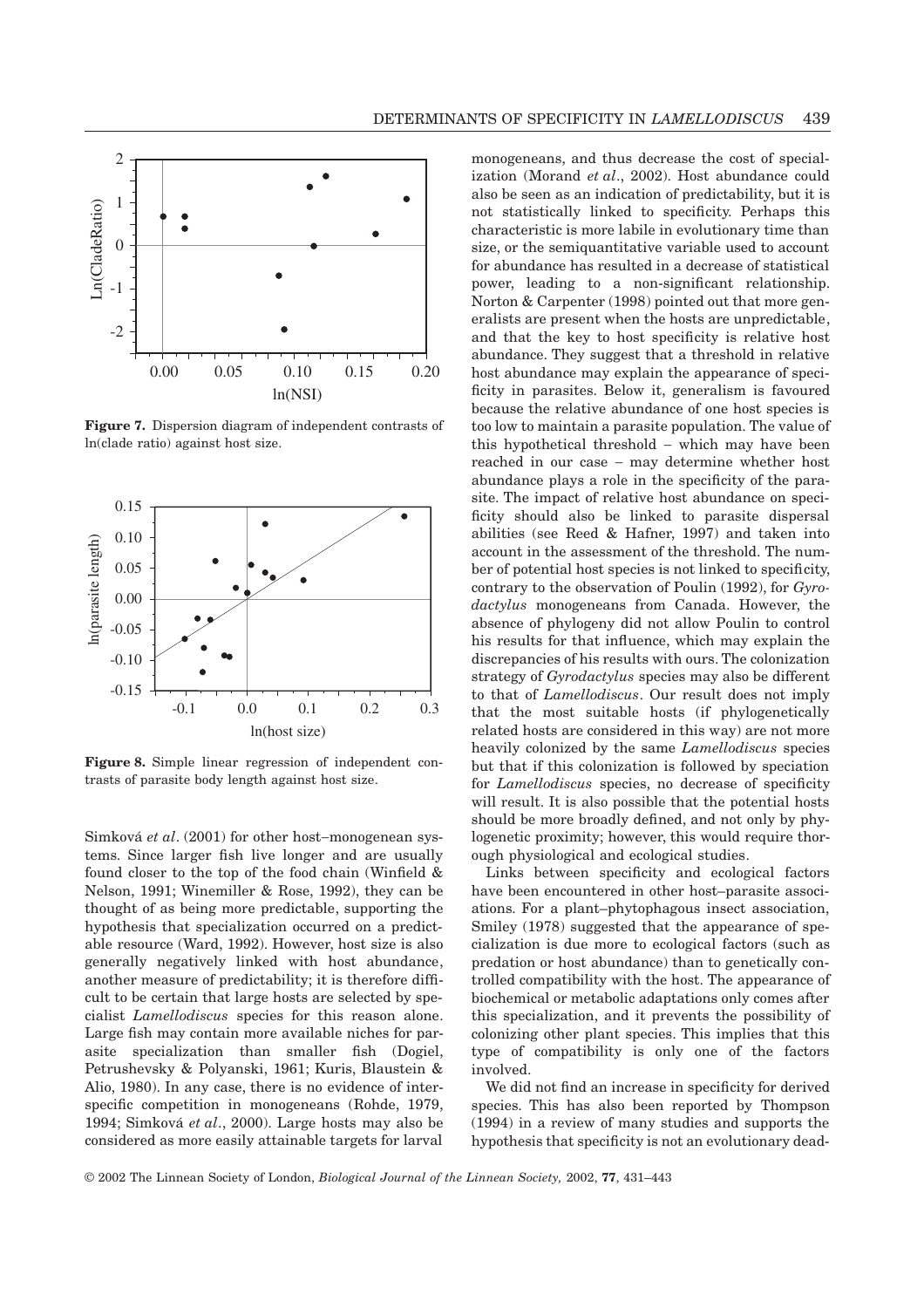

**Figure 7.** Dispersion diagram of independent contrasts of ln(clade ratio) against host size.



**Figure 8.** Simple linear regression of independent contrasts of parasite body length against host size.

Simková *et al*. (2001) for other host-monogenean systems. Since larger fish live longer and are usually found closer to the top of the food chain (Winfield & Nelson, 1991; Winemiller & Rose, 1992), they can be thought of as being more predictable, supporting the hypothesis that specialization occurred on a predictable resource (Ward, 1992). However, host size is also generally negatively linked with host abundance, another measure of predictability; it is therefore difficult to be certain that large hosts are selected by specialist *Lamellodiscus* species for this reason alone. Large fish may contain more available niches for parasite specialization than smaller fish (Dogiel, Petrushevsky & Polyanski, 1961; Kuris, Blaustein & Alio, 1980). In any case, there is no evidence of interspecific competition in monogeneans (Rohde, 1979, 1994; Simková *et al*., 2000). Large hosts may also be considered as more easily attainable targets for larval

monogeneans, and thus decrease the cost of specialization (Morand *et al*., 2002). Host abundance could also be seen as an indication of predictability, but it is not statistically linked to specificity. Perhaps this characteristic is more labile in evolutionary time than size, or the semiquantitative variable used to account for abundance has resulted in a decrease of statistical power, leading to a non-significant relationship. Norton & Carpenter (1998) pointed out that more generalists are present when the hosts are unpredictable, and that the key to host specificity is relative host abundance. They suggest that a threshold in relative host abundance may explain the appearance of specificity in parasites. Below it, generalism is favoured because the relative abundance of one host species is too low to maintain a parasite population. The value of this hypothetical threshold - which may have been reached in our case - may determine whether host abundance plays a role in the specificity of the parasite. The impact of relative host abundance on specificity should also be linked to parasite dispersal abilities (see Reed & Hafner, 1997) and taken into account in the assessment of the threshold. The number of potential host species is not linked to specificity, contrary to the observation of Poulin (1992), for *Gyrodactylus* monogeneans from Canada. However, the absence of phylogeny did not allow Poulin to control his results for that influence, which may explain the discrepancies of his results with ours. The colonization strategy of *Gyrodactylus* species may also be different to that of *Lamellodiscus*. Our result does not imply that the most suitable hosts (if phylogenetically related hosts are considered in this way) are not more heavily colonized by the same *Lamellodiscus* species but that if this colonization is followed by speciation for *Lamellodiscus* species, no decrease of specificity will result. It is also possible that the potential hosts should be more broadly defined, and not only by phylogenetic proximity; however, this would require thorough physiological and ecological studies.

Links between specificity and ecological factors have been encountered in other host–parasite associations. For a plant–phytophagous insect association, Smiley (1978) suggested that the appearance of specialization is due more to ecological factors (such as predation or host abundance) than to genetically controlled compatibility with the host. The appearance of biochemical or metabolic adaptations only comes after this specialization, and it prevents the possibility of colonizing other plant species. This implies that this type of compatibility is only one of the factors involved.

We did not find an increase in specificity for derived species. This has also been reported by Thompson (1994) in a review of many studies and supports the hypothesis that specificity is not an evolutionary dead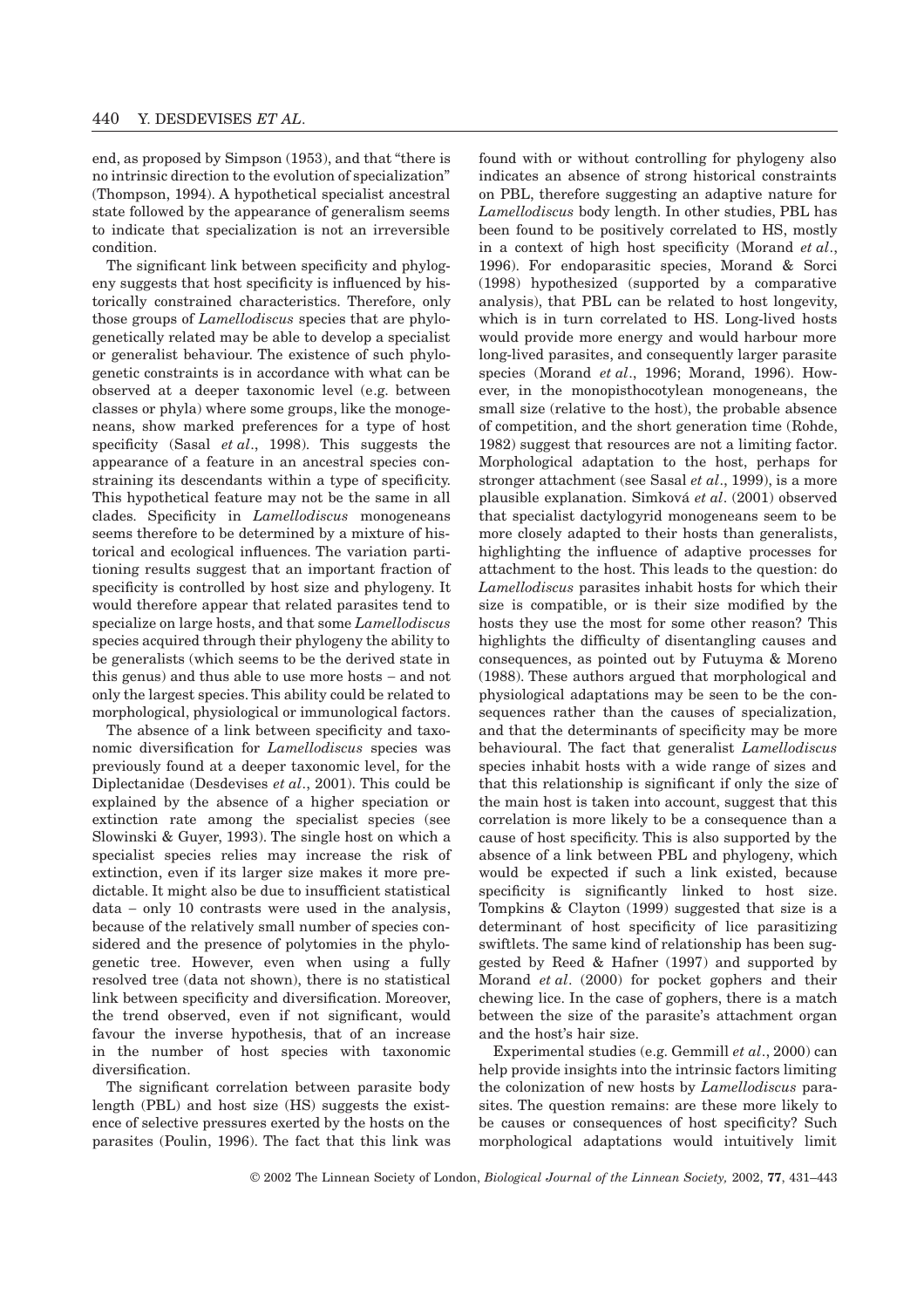end, as proposed by Simpson (1953), and that "there is no intrinsic direction to the evolution of specialization" (Thompson, 1994). A hypothetical specialist ancestral state followed by the appearance of generalism seems to indicate that specialization is not an irreversible condition.

The significant link between specificity and phylogeny suggests that host specificity is influenced by historically constrained characteristics. Therefore, only those groups of *Lamellodiscus* species that are phylogenetically related may be able to develop a specialist or generalist behaviour. The existence of such phylogenetic constraints is in accordance with what can be observed at a deeper taxonomic level (e.g. between classes or phyla) where some groups, like the monogeneans, show marked preferences for a type of host specificity (Sasal *et al*., 1998). This suggests the appearance of a feature in an ancestral species constraining its descendants within a type of specificity. This hypothetical feature may not be the same in all clades. Specificity in *Lamellodiscus* monogeneans seems therefore to be determined by a mixture of historical and ecological influences. The variation partitioning results suggest that an important fraction of specificity is controlled by host size and phylogeny. It would therefore appear that related parasites tend to specialize on large hosts, and that some *Lamellodiscus* species acquired through their phylogeny the ability to be generalists (which seems to be the derived state in this genus) and thus able to use more hosts – and not only the largest species. This ability could be related to morphological, physiological or immunological factors.

The absence of a link between specificity and taxonomic diversification for *Lamellodiscus* species was previously found at a deeper taxonomic level, for the Diplectanidae (Desdevises *et al*., 2001). This could be explained by the absence of a higher speciation or extinction rate among the specialist species (see Slowinski & Guyer, 1993). The single host on which a specialist species relies may increase the risk of extinction, even if its larger size makes it more predictable. It might also be due to insufficient statistical data - only 10 contrasts were used in the analysis, because of the relatively small number of species considered and the presence of polytomies in the phylogenetic tree. However, even when using a fully resolved tree (data not shown), there is no statistical link between specificity and diversification. Moreover, the trend observed, even if not significant, would favour the inverse hypothesis, that of an increase in the number of host species with taxonomic diversification.

The significant correlation between parasite body length (PBL) and host size (HS) suggests the existence of selective pressures exerted by the hosts on the parasites (Poulin, 1996). The fact that this link was

found with or without controlling for phylogeny also indicates an absence of strong historical constraints on PBL, therefore suggesting an adaptive nature for *Lamellodiscus* body length. In other studies, PBL has been found to be positively correlated to HS, mostly in a context of high host specificity (Morand *et al*., 1996). For endoparasitic species, Morand & Sorci (1998) hypothesized (supported by a comparative analysis), that PBL can be related to host longevity, which is in turn correlated to HS. Long-lived hosts would provide more energy and would harbour more long-lived parasites, and consequently larger parasite species (Morand *et al*., 1996; Morand, 1996). However, in the monopisthocotylean monogeneans, the small size (relative to the host), the probable absence of competition, and the short generation time (Rohde, 1982) suggest that resources are not a limiting factor. Morphological adaptation to the host, perhaps for stronger attachment (see Sasal *et al*., 1999), is a more plausible explanation. Simková *et al*. (2001) observed that specialist dactylogyrid monogeneans seem to be more closely adapted to their hosts than generalists, highlighting the influence of adaptive processes for attachment to the host. This leads to the question: do *Lamellodiscus* parasites inhabit hosts for which their size is compatible, or is their size modified by the hosts they use the most for some other reason? This highlights the difficulty of disentangling causes and consequences, as pointed out by Futuyma & Moreno (1988). These authors argued that morphological and physiological adaptations may be seen to be the consequences rather than the causes of specialization, and that the determinants of specificity may be more behavioural. The fact that generalist *Lamellodiscus* species inhabit hosts with a wide range of sizes and that this relationship is significant if only the size of the main host is taken into account, suggest that this correlation is more likely to be a consequence than a cause of host specificity. This is also supported by the absence of a link between PBL and phylogeny, which would be expected if such a link existed, because specificity is significantly linked to host size. Tompkins & Clayton (1999) suggested that size is a determinant of host specificity of lice parasitizing swiftlets. The same kind of relationship has been suggested by Reed & Hafner (1997) and supported by Morand *et al*. (2000) for pocket gophers and their chewing lice. In the case of gophers, there is a match between the size of the parasite's attachment organ and the host's hair size.

Experimental studies (e.g. Gemmill *et al*., 2000) can help provide insights into the intrinsic factors limiting the colonization of new hosts by *Lamellodiscus* parasites. The question remains: are these more likely to be causes or consequences of host specificity? Such morphological adaptations would intuitively limit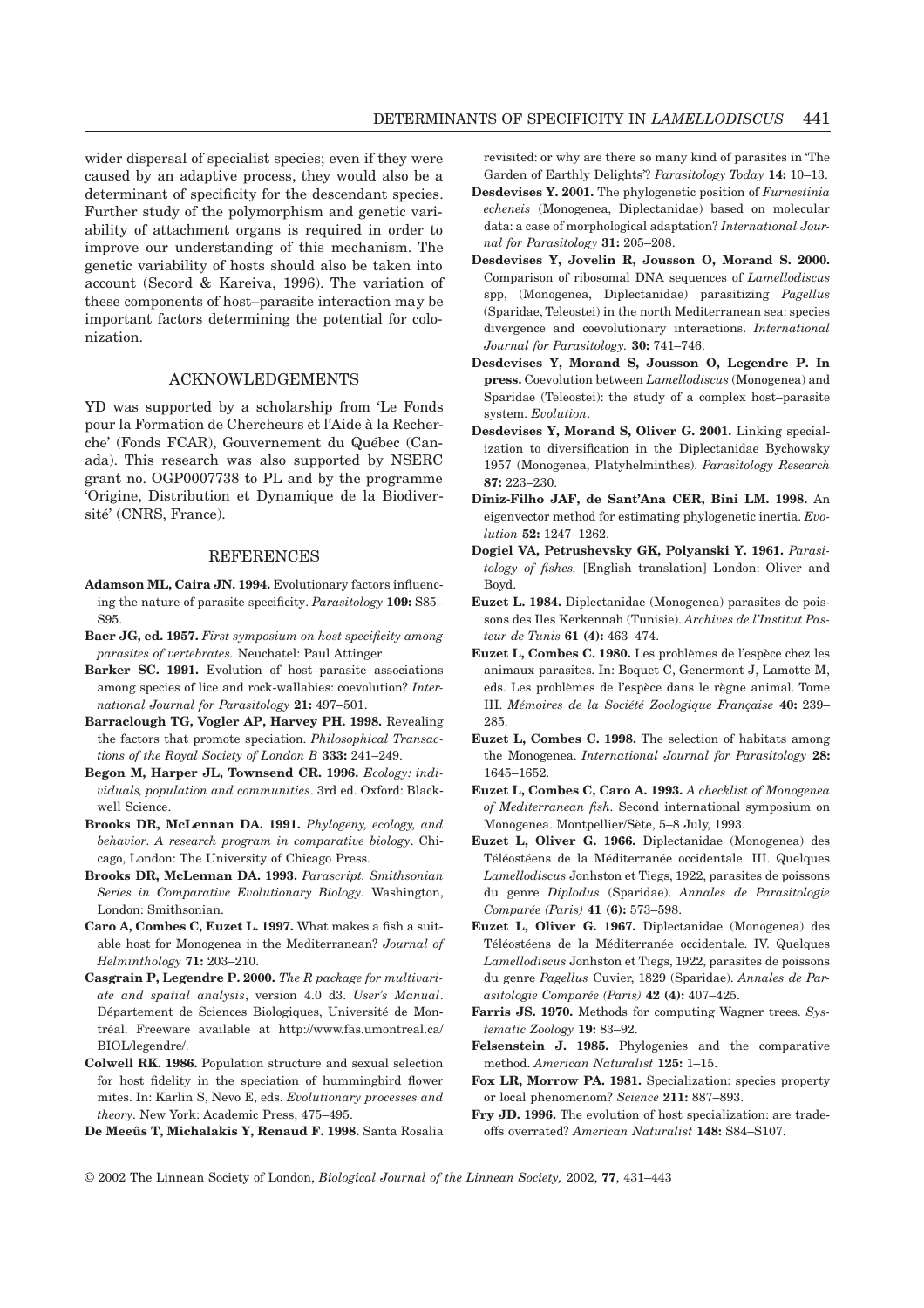wider dispersal of specialist species; even if they were caused by an adaptive process, they would also be a determinant of specificity for the descendant species. Further study of the polymorphism and genetic variability of attachment organs is required in order to improve our understanding of this mechanism. The genetic variability of hosts should also be taken into account (Secord & Kareiva, 1996). The variation of these components of host–parasite interaction may be important factors determining the potential for colonization.

## ACKNOWLEDGEMENTS

YD was supported by a scholarship from 'Le Fonds pour la Formation de Chercheurs et l'Aide à la Recherche' (Fonds FCAR), Gouvernement du Québec (Canada). This research was also supported by NSERC grant no. OGP0007738 to PL and by the programme 'Origine, Distribution et Dynamique de la Biodiversité' (CNRS, France).

## REFERENCES

- **Adamson ML, Caira JN. 1994.** Evolutionary factors influencing the nature of parasite specificity. *Parasitology* **109:** S85– S95.
- **Baer JG, ed. 1957.** *First symposium on host specificity among parasites of vertebrates.* Neuchatel: Paul Attinger.
- **Barker SC. 1991.** Evolution of host–parasite associations among species of lice and rock-wallabies: coevolution? *International Journal for Parasitology* **21:** 497–501.
- **Barraclough TG, Vogler AP, Harvey PH. 1998.** Revealing the factors that promote speciation. *Philosophical Transactions of the Royal Society of London B* **333:** 241–249.
- **Begon M, Harper JL, Townsend CR. 1996.** *Ecology: individuals, population and communities*. 3rd ed. Oxford: Blackwell Science.
- **Brooks DR, McLennan DA. 1991.** *Phylogeny, ecology, and behavior. A research program in comparative biology*. Chicago, London: The University of Chicago Press.
- **Brooks DR, McLennan DA. 1993.** *Parascript. Smithsonian Series in Comparative Evolutionary Biology.* Washington, London: Smithsonian.
- **Caro A, Combes C, Euzet L. 1997.** What makes a fish a suitable host for Monogenea in the Mediterranean? *Journal of Helminthology* **71:** 203–210.
- **Casgrain P, Legendre P. 2000.** *The R package for multivariate and spatial analysis*, version 4.0 d3. *User's Manual*. Département de Sciences Biologiques, Université de Montréal. Freeware available at http://www.fas.umontreal.ca/ BIOL/legendre/.
- **Colwell RK. 1986.** Population structure and sexual selection for host fidelity in the speciation of hummingbird flower mites. In: Karlin S, Nevo E, eds. *Evolutionary processes and theory*. New York: Academic Press, 475–495.

**De Meeûs T, Michalakis Y, Renaud F. 1998.** Santa Rosalia

revisited: or why are there so many kind of parasites in 'The Garden of Earthly Delights'? *Parasitology Today* **14:** 10–13.

- **Desdevises Y. 2001.** The phylogenetic position of *Furnestinia echeneis* (Monogenea, Diplectanidae) based on molecular data: a case of morphological adaptation? *International Journal for Parasitology* **31:** 205–208.
- **Desdevises Y, Jovelin R, Jousson O, Morand S. 2000.** Comparison of ribosomal DNA sequences of *Lamellodiscus* spp, (Monogenea, Diplectanidae) parasitizing *Pagellus* (Sparidae, Teleostei) in the north Mediterranean sea: species divergence and coevolutionary interactions. *International Journal for Parasitology.* **30:** 741–746.
- **Desdevises Y, Morand S, Jousson O, Legendre P. In press.** Coevolution between *Lamellodiscus* (Monogenea) and Sparidae (Teleostei): the study of a complex host–parasite system. *Evolution*.
- **Desdevises Y, Morand S, Oliver G. 2001.** Linking specialization to diversification in the Diplectanidae Bychowsky 1957 (Monogenea, Platyhelminthes). *Parasitology Research* **87:** 223–230.
- **Diniz-Filho JAF, de Sant'Ana CER, Bini LM. 1998.** An eigenvector method for estimating phylogenetic inertia. *Evolution* **52:** 1247–1262.
- **Dogiel VA, Petrushevsky GK, Polyanski Y. 1961.** *Parasitology of fishes.* [English translation] London: Oliver and Boyd.
- **Euzet L. 1984.** Diplectanidae (Monogenea) parasites de poissons des Iles Kerkennah (Tunisie). *Archives de l'Institut Pasteur de Tunis* **61 (4):** 463–474.
- **Euzet L, Combes C. 1980.** Les problèmes de l'espèce chez les animaux parasites. In: Boquet C, Genermont J, Lamotte M, eds. Les problèmes de l'espèce dans le règne animal. Tome III. *Mémoires de la Société Zoologique Française* **40:** 239– 285.
- **Euzet L, Combes C. 1998.** The selection of habitats among the Monogenea. *International Journal for Parasitology* **28:** 1645–1652.
- **Euzet L, Combes C, Caro A. 1993.** *A checklist of Monogenea of Mediterranean fish.* Second international symposium on Monogenea. Montpellier/Sète, 5–8 July, 1993.
- **Euzet L, Oliver G. 1966.** Diplectanidae (Monogenea) des Téléostéens de la Méditerranée occidentale. III. Quelques *Lamellodiscus* Jonhston et Tiegs, 1922, parasites de poissons du genre *Diplodus* (Sparidae). *Annales de Parasitologie Comparée (Paris)* **41 (6):** 573–598.
- **Euzet L, Oliver G. 1967.** Diplectanidae (Monogenea) des Téléostéens de la Méditerranée occidentale. IV. Quelques *Lamellodiscus* Jonhston et Tiegs, 1922, parasites de poissons du genre *Pagellus* Cuvier, 1829 (Sparidae). *Annales de Parasitologie Comparée (Paris)* **42 (4):** 407–425.
- **Farris JS. 1970.** Methods for computing Wagner trees. *Systematic Zoology* **19:** 83–92.
- **Felsenstein J. 1985.** Phylogenies and the comparative method. *American Naturalist* **125:** 1–15.
- **Fox LR, Morrow PA. 1981.** Specialization: species property or local phenomenom? *Science* **211:** 887–893.
- **Fry JD. 1996.** The evolution of host specialization: are tradeoffs overrated? *American Naturalist* **148:** S84–S107.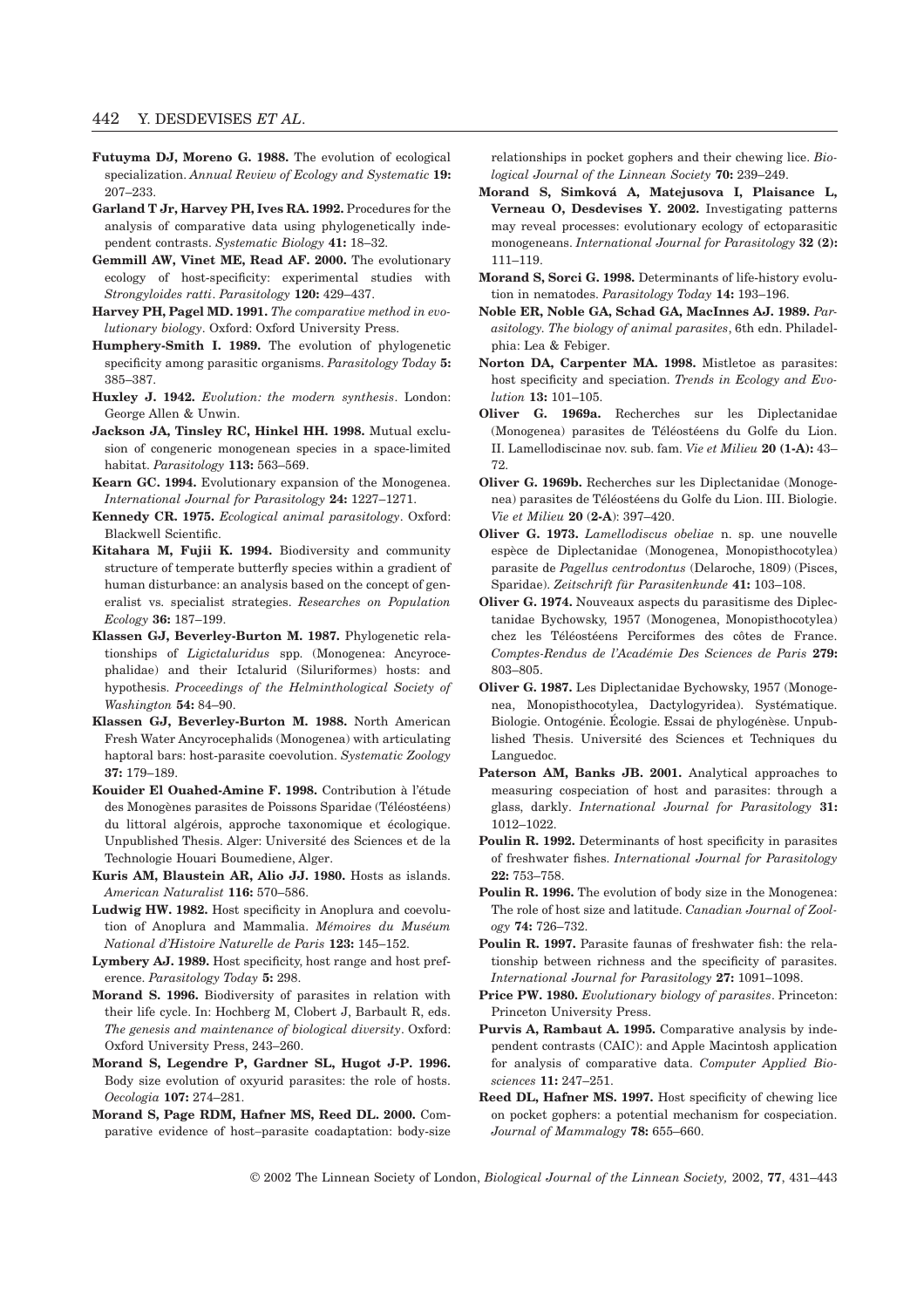- **Futuyma DJ, Moreno G. 1988.** The evolution of ecological specialization. *Annual Review of Ecology and Systematic* **19:** 207–233.
- **Garland T Jr, Harvey PH, Ives RA. 1992.** Procedures for the analysis of comparative data using phylogenetically independent contrasts. *Systematic Biology* **41:** 18–32.
- **Gemmill AW, Vinet ME, Read AF. 2000.** The evolutionary ecology of host-specificity: experimental studies with *Strongyloides ratti*. *Parasitology* **120:** 429–437.
- **Harvey PH, Pagel MD. 1991.** *The comparative method in evolutionary biology*. Oxford: Oxford University Press.
- **Humphery-Smith I. 1989.** The evolution of phylogenetic specificity among parasitic organisms. *Parasitology Today* **5:** 385–387.
- **Huxley J. 1942.** *Evolution: the modern synthesis*. London: George Allen & Unwin.
- **Jackson JA, Tinsley RC, Hinkel HH. 1998.** Mutual exclusion of congeneric monogenean species in a space-limited habitat. *Parasitology* **113:** 563–569.
- **Kearn GC. 1994.** Evolutionary expansion of the Monogenea. *International Journal for Parasitology* **24:** 1227–1271.
- **Kennedy CR. 1975.** *Ecological animal parasitology*. Oxford: Blackwell Scientific.
- **Kitahara M, Fujii K. 1994.** Biodiversity and community structure of temperate butterfly species within a gradient of human disturbance: an analysis based on the concept of generalist vs. specialist strategies. *Researches on Population Ecology* **36:** 187–199.
- **Klassen GJ, Beverley-Burton M. 1987.** Phylogenetic relationships of *Ligictaluridus* spp. (Monogenea: Ancyrocephalidae) and their Ictalurid (Siluriformes) hosts: and hypothesis. *Proceedings of the Helminthological Society of Washington* **54:** 84–90.
- **Klassen GJ, Beverley-Burton M. 1988.** North American Fresh Water Ancyrocephalids (Monogenea) with articulating haptoral bars: host-parasite coevolution. *Systematic Zoology* **37:** 179–189.
- **Kouider El Ouahed-Amine F. 1998.** Contribution à l'étude des Monogènes parasites de Poissons Sparidae (Téléostéens) du littoral algérois, approche taxonomique et écologique. Unpublished Thesis. Alger: Université des Sciences et de la Technologie Houari Boumediene, Alger.
- **Kuris AM, Blaustein AR, Alio JJ. 1980.** Hosts as islands. *American Naturalist* **116:** 570–586.
- **Ludwig HW. 1982.** Host specificity in Anoplura and coevolution of Anoplura and Mammalia. *Mémoires du Muséum National d'Histoire Naturelle de Paris* **123:** 145–152.
- Lymbery AJ. 1989. Host specificity, host range and host preference. *Parasitology Today* **5:** 298.
- **Morand S. 1996.** Biodiversity of parasites in relation with their life cycle. In: Hochberg M, Clobert J, Barbault R, eds. *The genesis and maintenance of biological diversity*. Oxford: Oxford University Press, 243–260.
- **Morand S, Legendre P, Gardner SL, Hugot J-P. 1996.** Body size evolution of oxyurid parasites: the role of hosts. *Oecologia* **107:** 274–281.
- **Morand S, Page RDM, Hafner MS, Reed DL. 2000.** Comparative evidence of host-parasite coadaptation: body-size

relationships in pocket gophers and their chewing lice. *Biological Journal of the Linnean Society* **70:** 239–249.

- **Morand S, Simková A, Matejusova I, Plaisance L, Verneau O, Desdevises Y. 2002.** Investigating patterns may reveal processes: evolutionary ecology of ectoparasitic monogeneans. *International Journal for Parasitology* **32 (2):** 111–119.
- **Morand S, Sorci G. 1998.** Determinants of life-history evolution in nematodes. *Parasitology Today* **14:** 193–196.
- **Noble ER, Noble GA, Schad GA, MacInnes AJ. 1989.** *Parasitology. The biology of animal parasites*, 6th edn. Philadelphia: Lea & Febiger.
- **Norton DA, Carpenter MA. 1998.** Mistletoe as parasites: host specificity and speciation. *Trends in Ecology and Evolution* **13:** 101–105.
- **Oliver G. 1969a.** Recherches sur les Diplectanidae (Monogenea) parasites de Téléostéens du Golfe du Lion. II. Lamellodiscinae nov. sub. fam. *Vie et Milieu* **20 (1-A):** 43– 72.
- **Oliver G. 1969b.** Recherches sur les Diplectanidae (Monogenea) parasites de Téléostéens du Golfe du Lion. III. Biologie. *Vie et Milieu* **20** (**2-A**): 397–420.
- **Oliver G. 1973.** *Lamellodiscus obeliae* n. sp. une nouvelle espèce de Diplectanidae (Monogenea, Monopisthocotylea) parasite de *Pagellus centrodontus* (Delaroche, 1809) (Pisces, Sparidae). *Zeitschrift für Parasitenkunde* **41:** 103–108.
- **Oliver G. 1974.** Nouveaux aspects du parasitisme des Diplectanidae Bychowsky, 1957 (Monogenea, Monopisthocotylea) chez les Téléostéens Perciformes des côtes de France. *Comptes-Rendus de l'Académie Des Sciences de Paris* **279:** 803–805.
- **Oliver G. 1987.** Les Diplectanidae Bychowsky, 1957 (Monogenea, Monopisthocotylea, Dactylogyridea). Systématique. Biologie. Ontogénie. Écologie. Essai de phylogénèse. Unpublished Thesis. Université des Sciences et Techniques du Languedoc.
- Paterson AM, Banks JB. 2001. Analytical approaches to measuring cospeciation of host and parasites: through a glass, darkly. *International Journal for Parasitology* **31:** 1012–1022.
- **Poulin R. 1992.** Determinants of host specificity in parasites of freshwater fishes. *International Journal for Parasitology* **22:** 753–758.
- **Poulin R. 1996.** The evolution of body size in the Monogenea: The role of host size and latitude. *Canadian Journal of Zoology* **74:** 726–732.
- **Poulin R. 1997.** Parasite faunas of freshwater fish: the relationship between richness and the specificity of parasites. *International Journal for Parasitology* **27:** 1091–1098.
- **Price PW. 1980.** *Evolutionary biology of parasites*. Princeton: Princeton University Press.
- Purvis A, Rambaut A. 1995. Comparative analysis by independent contrasts (CAIC): and Apple Macintosh application for analysis of comparative data. *Computer Applied Biosciences* **11:** 247–251.
- **Reed DL, Hafner MS. 1997.** Host specificity of chewing lice on pocket gophers: a potential mechanism for cospeciation. *Journal of Mammalogy* **78:** 655–660.